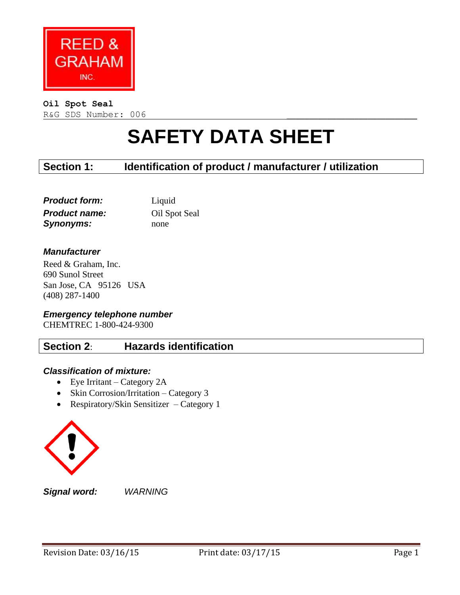

#### **Oil Spot Seal**

R&G SDS Number: 006

# **SAFETY DATA SHEET**

## **Section 1: Identification of product / manufacturer / utilization**

| <b>Product form:</b> | Liquid        |
|----------------------|---------------|
| <b>Product name:</b> | Oil Spot Seal |
| <b>Synonyms:</b>     | none          |

#### *Manufacturer*

Reed & Graham, Inc. 690 Sunol Street San Jose, CA 95126 USA (408) 287-1400

*Emergency telephone number* CHEMTREC 1-800-424-9300

## **Section 2**: **Hazards identification**

#### *Classification of mixture:*

- Eye Irritant Category 2A
- Skin Corrosion/Irritation Category 3
- Respiratory/Skin Sensitizer Category 1



*Signal word: WARNING*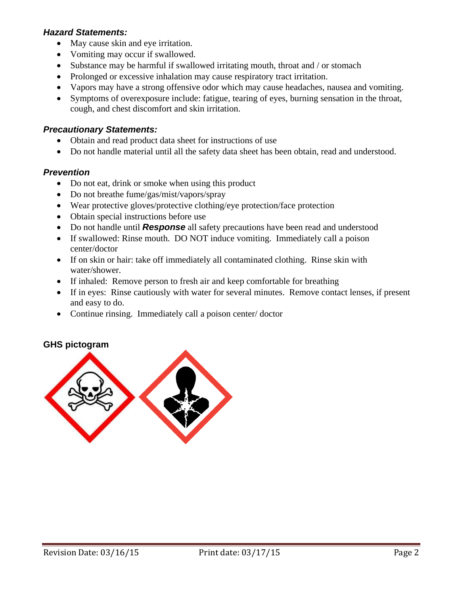#### *Hazard Statements:*

- May cause skin and eye irritation.
- Vomiting may occur if swallowed.
- Substance may be harmful if swallowed irritating mouth, throat and / or stomach
- Prolonged or excessive inhalation may cause respiratory tract irritation.
- Vapors may have a strong offensive odor which may cause headaches, nausea and vomiting.
- Symptoms of overexposure include: fatigue, tearing of eyes, burning sensation in the throat, cough, and chest discomfort and skin irritation.

#### *Precautionary Statements:*

- Obtain and read product data sheet for instructions of use
- Do not handle material until all the safety data sheet has been obtain, read and understood.

#### *Prevention*

- Do not eat, drink or smoke when using this product
- Do not breathe fume/gas/mist/vapors/spray
- Wear protective gloves/protective clothing/eye protection/face protection
- Obtain special instructions before use
- Do not handle until *Response* all safety precautions have been read and understood
- If swallowed: Rinse mouth. DO NOT induce vomiting. Immediately call a poison center/doctor
- If on skin or hair: take off immediately all contaminated clothing. Rinse skin with water/shower.
- If inhaled: Remove person to fresh air and keep comfortable for breathing
- If in eyes: Rinse cautiously with water for several minutes. Remove contact lenses, if present and easy to do.
- Continue rinsing. Immediately call a poison center/ doctor

#### **GHS pictogram**

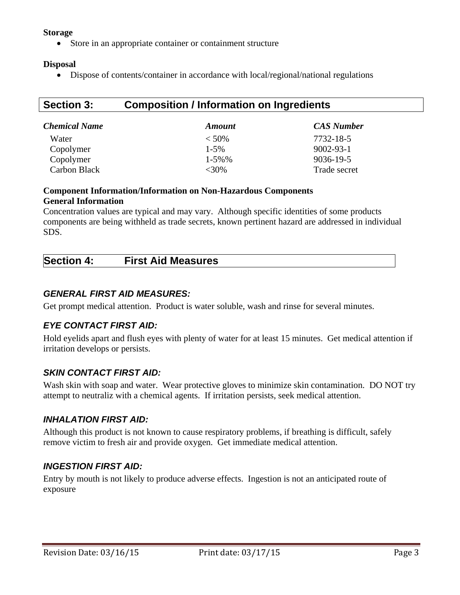#### **Storage**

Store in an appropriate container or containment structure

#### **Disposal**

Dispose of contents/container in accordance with local/regional/national regulations

# **Section 3: Composition / Information on Ingredients**

| <b>Chemical Name</b> | <b>Amount</b> | <b>CAS Number</b> |
|----------------------|---------------|-------------------|
| Water                | $< 50\%$      | 7732-18-5         |
| Copolymer            | $1 - 5\%$     | $9002 - 93 - 1$   |
| Copolymer            | $1 - 5\%$ %   | 9036-19-5         |
| Carbon Black         | <30%          | Trade secret      |

#### **Component Information/Information on Non-Hazardous Components General Information**

Concentration values are typical and may vary. Although specific identities of some products components are being withheld as trade secrets, known pertinent hazard are addressed in individual SDS.

| Section<br><b>4:</b> | <b>First Aid Measures</b> |  |
|----------------------|---------------------------|--|
|----------------------|---------------------------|--|

#### *GENERAL FIRST AID MEASURES:*

Get prompt medical attention. Product is water soluble, wash and rinse for several minutes.

#### *EYE CONTACT FIRST AID:*

Hold eyelids apart and flush eyes with plenty of water for at least 15 minutes. Get medical attention if irritation develops or persists.

#### *SKIN CONTACT FIRST AID:*

Wash skin with soap and water. Wear protective gloves to minimize skin contamination. DO NOT try attempt to neutraliz with a chemical agents. If irritation persists, seek medical attention.

#### *INHALATION FIRST AID:*

Although this product is not known to cause respiratory problems, if breathing is difficult, safely remove victim to fresh air and provide oxygen. Get immediate medical attention.

#### *INGESTION FIRST AID:*

Entry by mouth is not likely to produce adverse effects. Ingestion is not an anticipated route of exposure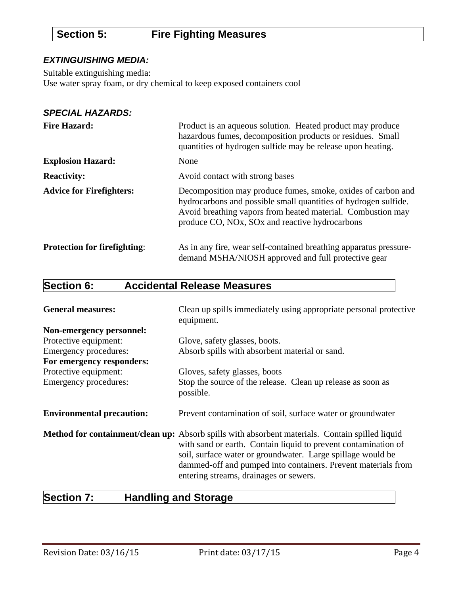# **Section 5: Fire Fighting Measures**

#### *EXTINGUISHING MEDIA:*

Suitable extinguishing media:

Use water spray foam, or dry chemical to keep exposed containers cool

#### *SPECIAL HAZARDS:*

| <b>Fire Hazard:</b>                 | Product is an aqueous solution. Heated product may produce<br>hazardous fumes, decomposition products or residues. Small<br>quantities of hydrogen sulfide may be release upon heating.                                                          |
|-------------------------------------|--------------------------------------------------------------------------------------------------------------------------------------------------------------------------------------------------------------------------------------------------|
| <b>Explosion Hazard:</b>            | None                                                                                                                                                                                                                                             |
| <b>Reactivity:</b>                  | Avoid contact with strong bases                                                                                                                                                                                                                  |
| <b>Advice for Firefighters:</b>     | Decomposition may produce fumes, smoke, oxides of carbon and<br>hydrocarbons and possible small quantities of hydrogen sulfide.<br>Avoid breathing vapors from heated material. Combustion may<br>produce CO, NOx, SOx and reactive hydrocarbons |
| <b>Protection for firefighting:</b> | As in any fire, wear self-contained breathing apparatus pressure-<br>demand MSHA/NIOSH approved and full protective gear                                                                                                                         |

# **Section 6: Accidental Release Measures**

| <b>General measures:</b>         | Clean up spills immediately using appropriate personal protective<br>equipment.                                                                                                                                                                                                                                                             |
|----------------------------------|---------------------------------------------------------------------------------------------------------------------------------------------------------------------------------------------------------------------------------------------------------------------------------------------------------------------------------------------|
| Non-emergency personnel:         |                                                                                                                                                                                                                                                                                                                                             |
| Protective equipment:            | Glove, safety glasses, boots.                                                                                                                                                                                                                                                                                                               |
| Emergency procedures:            | Absorb spills with absorbent material or sand.                                                                                                                                                                                                                                                                                              |
| For emergency responders:        |                                                                                                                                                                                                                                                                                                                                             |
| Protective equipment:            | Gloves, safety glasses, boots                                                                                                                                                                                                                                                                                                               |
| Emergency procedures:            | Stop the source of the release. Clean up release as soon as<br>possible.                                                                                                                                                                                                                                                                    |
| <b>Environmental precaution:</b> | Prevent contamination of soil, surface water or groundwater                                                                                                                                                                                                                                                                                 |
|                                  | Method for containment/clean up: Absorb spills with absorbent materials. Contain spilled liquid<br>with sand or earth. Contain liquid to prevent contamination of<br>soil, surface water or groundwater. Large spillage would be<br>dammed-off and pumped into containers. Prevent materials from<br>entering streams, drainages or sewers. |

# **Section 7: Handling and Storage**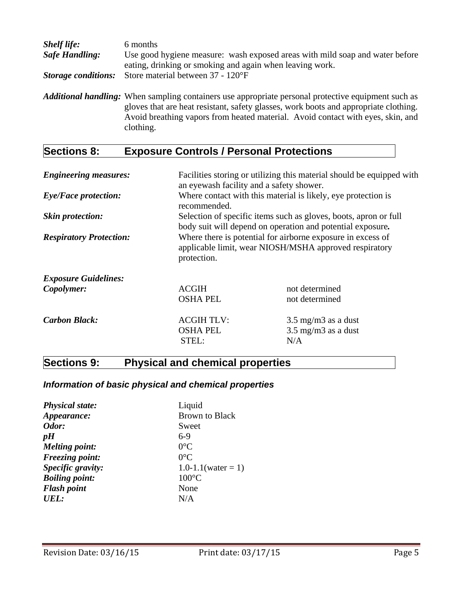| <b>Shelf life:</b>         | 6 months                                                                                                                                                                                                                                                                                           |
|----------------------------|----------------------------------------------------------------------------------------------------------------------------------------------------------------------------------------------------------------------------------------------------------------------------------------------------|
| <b>Safe Handling:</b>      | Use good hygiene measure: wash exposed areas with mild soap and water before<br>eating, drinking or smoking and again when leaving work.                                                                                                                                                           |
| <b>Storage conditions:</b> | Store material between 37 - 120°F                                                                                                                                                                                                                                                                  |
|                            | <b>Additional handling:</b> When sampling containers use appropriate personal protective equipment such as<br>gloves that are heat resistant, safety glasses, work boots and appropriate clothing.<br>Avoid breathing vapors from heated material. Avoid contact with eyes, skin, and<br>clothing. |

# **Sections 8: Exposure Controls / Personal Protections**

| <b>Engineering measures:</b>   | an eyewash facility and a safety shower.                                                                                             | Facilities storing or utilizing this material should be equipped with                                                          |
|--------------------------------|--------------------------------------------------------------------------------------------------------------------------------------|--------------------------------------------------------------------------------------------------------------------------------|
| <b>Eye/Face protection:</b>    | recommended.                                                                                                                         | Where contact with this material is likely, eye protection is                                                                  |
| <b>Skin protection:</b>        |                                                                                                                                      | Selection of specific items such as gloves, boots, apron or full<br>body suit will depend on operation and potential exposure. |
| <b>Respiratory Protection:</b> | Where there is potential for airborne exposure in excess of<br>applicable limit, wear NIOSH/MSHA approved respiratory<br>protection. |                                                                                                                                |
| <b>Exposure Guidelines:</b>    |                                                                                                                                      |                                                                                                                                |
| Copolymer:                     | <b>ACGIH</b>                                                                                                                         | not determined                                                                                                                 |
|                                | <b>OSHA PEL</b>                                                                                                                      | not determined                                                                                                                 |
| <b>Carbon Black:</b>           | <b>ACGIH TLV:</b><br><b>OSHA PEL</b><br>STEL:                                                                                        | $3.5 \text{ mg/m}$ as a dust<br>$3.5 \text{ mg/m}$ as a dust<br>N/A                                                            |

# **Sections 9: Physical and chemical properties**

## *Information of basic physical and chemical properties*

| <b>Physical state:</b> | Liquid                |
|------------------------|-----------------------|
| Appearance:            | <b>Brown to Black</b> |
| Odor:                  | Sweet                 |
| pH                     | $6-9$                 |
| <b>Melting point:</b>  | $0^{\circ}C$          |
| <b>Freezing point:</b> | $0^{\circ}$ C         |
| Specific gravity:      | 1.0-1.1(water = 1)    |
| <b>Boiling point:</b>  | $100^{\circ}$ C       |
| <b>Flash point</b>     | None                  |
| UEL:                   | N/A                   |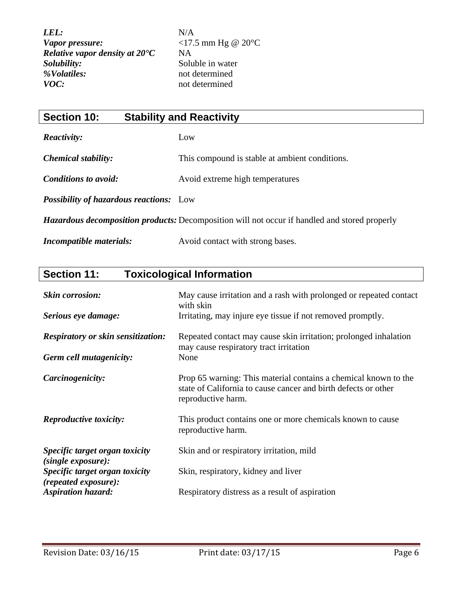| <b>Section 10:</b>                             | <b>Stability and Reactivity</b>                                                                      |
|------------------------------------------------|------------------------------------------------------------------------------------------------------|
| <i>Reactivity:</i>                             | Low                                                                                                  |
| <b>Chemical stability:</b>                     | This compound is stable at ambient conditions.                                                       |
| <b>Conditions to avoid:</b>                    | Avoid extreme high temperatures                                                                      |
| <b>Possibility of hazardous reactions:</b> Low |                                                                                                      |
|                                                | <b>Hazardous decomposition products:</b> Decomposition will not occur if handled and stored properly |
| Incompatible materials:                        | Avoid contact with strong bases.                                                                     |

# **Section 11: Toxicological Information**

| <b>Skin corrosion:</b><br>Serious eye damage:          | May cause irritation and a rash with prolonged or repeated contact<br>with skin<br>Irritating, may injure eye tissue if not removed promptly.           |
|--------------------------------------------------------|---------------------------------------------------------------------------------------------------------------------------------------------------------|
| <b>Respiratory or skin sensitization:</b>              | Repeated contact may cause skin irritation; prolonged inhalation<br>may cause respiratory tract irritation                                              |
| Germ cell mutagenicity:                                | None                                                                                                                                                    |
| Carcinogenicity:                                       | Prop 65 warning: This material contains a chemical known to the<br>state of California to cause cancer and birth defects or other<br>reproductive harm. |
| <b>Reproductive toxicity:</b>                          | This product contains one or more chemicals known to cause<br>reproductive harm.                                                                        |
| Specific target organ toxicity<br>(single exposure):   | Skin and or respiratory irritation, mild                                                                                                                |
| Specific target organ toxicity<br>(repeated exposure): | Skin, respiratory, kidney and liver                                                                                                                     |
| <b>Aspiration hazard:</b>                              | Respiratory distress as a result of aspiration                                                                                                          |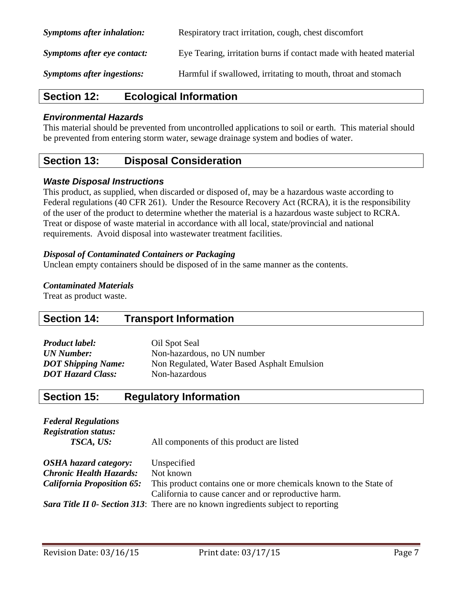| <b>Symptoms after inhalation:</b> | Respiratory tract irritation, cough, chest discomfort              |
|-----------------------------------|--------------------------------------------------------------------|
| Symptoms after eye contact:       | Eve Tearing, irritation burns if contact made with heated material |
| <b>Symptoms after ingestions:</b> | Harmful if swallowed, irritating to mouth, throat and stomach      |

## **Section 12: Ecological Information**

#### *Environmental Hazards*

This material should be prevented from uncontrolled applications to soil or earth. This material should be prevented from entering storm water, sewage drainage system and bodies of water.

## **Section 13: Disposal Consideration**

#### *Waste Disposal Instructions*

This product, as supplied, when discarded or disposed of, may be a hazardous waste according to Federal regulations (40 CFR 261). Under the Resource Recovery Act (RCRA), it is the responsibility of the user of the product to determine whether the material is a hazardous waste subject to RCRA. Treat or dispose of waste material in accordance with all local, state/provincial and national requirements. Avoid disposal into wastewater treatment facilities.

#### *Disposal of Contaminated Containers or Packaging*

Unclean empty containers should be disposed of in the same manner as the contents.

#### *Contaminated Materials*

Treat as product waste.

## **Section 14: Transport Information**

| Oil Spot Seal                               |
|---------------------------------------------|
| Non-hazardous, no UN number                 |
| Non Regulated, Water Based Asphalt Emulsion |
| Non-hazardous                               |
|                                             |

## **Section 15: Regulatory Information**

| <b>Federal Regulations</b><br><b>Registration status:</b><br>TSCA, US: | All components of this product are listed                                                                                 |
|------------------------------------------------------------------------|---------------------------------------------------------------------------------------------------------------------------|
| <b>OSHA</b> hazard category:                                           | Unspecified                                                                                                               |
| <b>Chronic Health Hazards:</b>                                         | Not known                                                                                                                 |
| <b>California Proposition 65:</b>                                      | This product contains one or more chemicals known to the State of<br>California to cause cancer and or reproductive harm. |
|                                                                        | Sara Title II 0- Section 313: There are no known ingredients subject to reporting                                         |